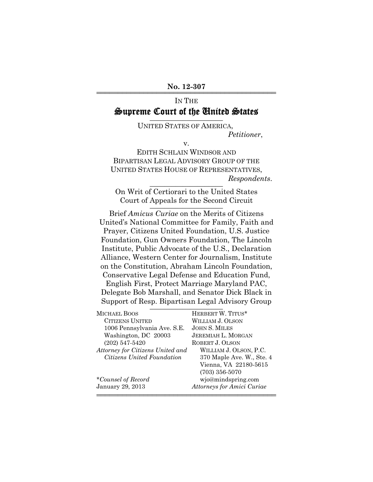# IN THE Supreme Court of the United States

UNITED STATES OF AMERICA, *Petitioner*,

v.

EDITH SCHLAIN WINDSOR AND BIPARTISAN LEGAL ADVISORY GROUP OF THE UNITED STATES HOUSE OF REPRESENTATIVES,  $Respondents.$ 

On Writ of Certiorari to the United States Court of Appeals for the Second Circuit

Brief *Amicus Curiae* on the Merits of Citizens United's National Committee for Family, Faith and Prayer, Citizens United Foundation, U.S. Justice Foundation, Gun Owners Foundation, The Lincoln Institute, Public Advocate of the U.S., Declaration Alliance, Western Center for Journalism, Institute on the Constitution, Abraham Lincoln Foundation, Conservative Legal Defense and Education Fund, English First, Protect Marriage Maryland PAC, Delegate Bob Marshall, and Senator Dick Black in Support of Resp. Bipartisan Legal Advisory Group

| MICHAEL BOOS                     | HERBERT W. TITUS*                 |
|----------------------------------|-----------------------------------|
| <b>CITIZENS UNITED</b>           | WILLIAM J. OLSON                  |
| 1006 Pennsylvania Ave. S.E.      | <b>JOHN S. MILES</b>              |
| Washington, DC 20003             | <b>JEREMIAH L. MORGAN</b>         |
| $(202)$ 547-5420                 | ROBERT J. OLSON                   |
| Attorney for Citizens United and | WILLIAM J. OLSON, P.C.            |
| Citizens United Foundation       | 370 Maple Ave. W., Ste. 4         |
|                                  | Vienna, VA 22180-5615             |
|                                  | $(703)$ 356-5070                  |
| *Counsel of Record               | wjo@mindspring.com                |
| January 29, 2013                 | <b>Attorneys for Amici Curiae</b> |
|                                  |                                   |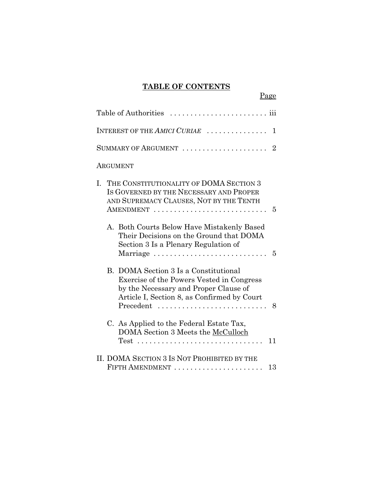## **TABLE OF CONTENTS**

Page

| INTEREST OF THE $AMICI$ $CURL$ $\ldots$ $\ldots$<br>1                                                                                                                                        |
|----------------------------------------------------------------------------------------------------------------------------------------------------------------------------------------------|
| SUMMARY OF ARGUMENT<br>$\overline{2}$                                                                                                                                                        |
| ARGUMENT                                                                                                                                                                                     |
| THE CONSTITUTIONALITY OF DOMA SECTION 3<br>$\mathbf{L}$<br>IS GOVERNED BY THE NECESSARY AND PROPER<br>AND SUPREMACY CLAUSES, NOT BY THE TENTH<br>5                                           |
| A. Both Courts Below Have Mistakenly Based<br>Their Decisions on the Ground that DOMA<br>Section 3 Is a Plenary Regulation of<br>Marriage<br>5                                               |
| B. DOMA Section 3 Is a Constitutional<br>Exercise of the Powers Vested in Congress<br>by the Necessary and Proper Clause of<br>Article I, Section 8, as Confirmed by Court<br>Precedent<br>8 |
| C. As Applied to the Federal Estate Tax,<br>DOMA Section 3 Meets the McCulloch<br>11                                                                                                         |
| II. DOMA SECTION 3 IS NOT PROHIBITED BY THE<br>FIFTH AMENDMENT<br>13                                                                                                                         |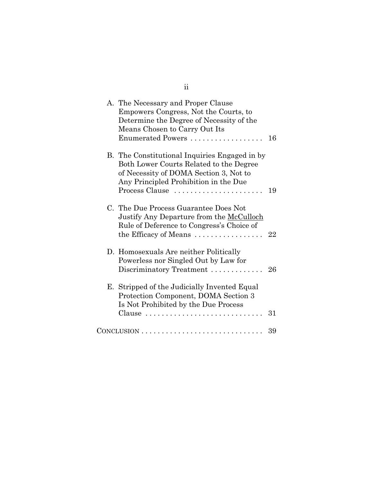| A. The Necessary and Proper Clause<br>Empowers Congress, Not the Courts, to<br>Determine the Degree of Necessity of the<br>Means Chosen to Carry Out Its<br>Enumerated Powers                 | 16 |
|-----------------------------------------------------------------------------------------------------------------------------------------------------------------------------------------------|----|
| B. The Constitutional Inquiries Engaged in by<br>Both Lower Courts Related to the Degree<br>of Necessity of DOMA Section 3, Not to<br>Any Principled Prohibition in the Due<br>Process Clause | 19 |
| C. The Due Process Guarantee Does Not<br>Justify Any Departure from the McCulloch<br>Rule of Deference to Congress's Choice of<br>the Efficacy of Means                                       | 22 |
| D. Homosexuals Are neither Politically<br>Powerless nor Singled Out by Law for<br>Discriminatory Treatment                                                                                    | 26 |
| E. Stripped of the Judicially Invented Equal<br>Protection Component, DOMA Section 3<br>Is Not Prohibited by the Due Process<br>Clause                                                        | 31 |
| $CONCLUSION \dots \dots \dots \dots \dots \dots \dots \dots \dots \dots \dots$                                                                                                                | 39 |

ii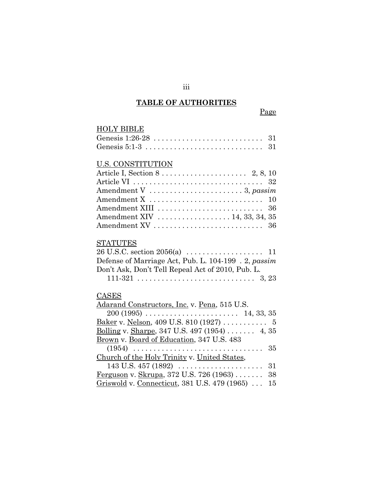#### **TABLE OF AUTHORITIES**

# HOLY BIBLE Genesis 1:26-28 . . . . . . . . . . . . . . . . . . . . . . . . . . . 31 Genesis 5:1-3 . . . . . . . . . . . . . . . . . . . . . . . . . . . . . 31 U.S. CONSTITUTION Article I, Section 8 . . . . . . . . . . . . . . . . . . . . . 2, 8, 10 Article VI . . . . . . . . . . . . . . . . . . . . . . . . . . . . . . . . 32 Amendment V . . . . . . . . . . . . . . . . . . . . . . . 3, *passim* Amendment X . . . . . . . . . . . . . . . . . . . . . . . . . . . . 10 Amendment XIII . . . . . . . . . . . . . . . . . . . . . . . . . . 36 Amendment XIV . . . . . . . . . . . . . . . . . 14, 33, 34, 35 Amendment XV . . . . . . . . . . . . . . . . . . . . . . . . . . . 36 STATUTES 26 U.S.C. section 2056(a) . . . . . . . . . . . . . . . . . . . 11 Defense of Marriage Act, Pub. L. 104-199 . 2, *passim* Don't Ask, Don't Tell Repeal Act of 2010, Pub. L. 111-321 . . . . . . . . . . . . . . . . . . . . . . . . . . . . . 3, 23 CASES Adarand Constructors, Inc. v. Pena, 515 U.S. 200 (1995) . . . . . . . . . . . . . . . . . . . . . . . 14, 33, 35 Baker v. Nelson, 409 U.S. 810 (1927) ........... 5 Bolling v. Sharpe, 347 U.S. 497 (1954) . . . . . . . 4, 35 Brown v. Board of Education, 347 U.S. 483 (1954) . . . . . . . . . . . . . . . . . . . . . . . . . . . . . . . . 35 Church of the Holy Trinity v. United States, 143 U.S. 457 (1892) . . . . . . . . . . . . . . . . . . . . . 31 Ferguson v. Skrupa, 372 U.S. 726 (1963) . . . . . . . 38 Griswold v. Connecticut, 381 U.S. 479 (1965) . . . 15

iii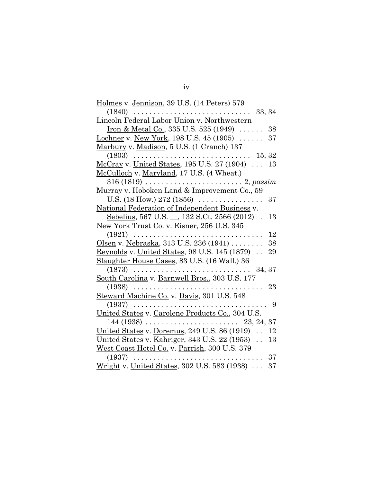| Holmes v. Jennison, 39 U.S. (14 Peters) 579                              |
|--------------------------------------------------------------------------|
| $(1840)$ .<br>33, 34<br>a dia ang pa<br>$\overline{1}$                   |
| Lincoln Federal Labor Union v. Northwestern                              |
| Iron & Metal Co., 335 U.S. 525 (1949) $\ldots$ .<br>38                   |
| Lochner v. New York, 198 U.S. 45 (1905)<br>37                            |
| Marbury v. Madison, 5 U.S. (1 Cranch) 137                                |
| (1803)<br>15, 32                                                         |
| McCray v. United States, 195 U.S. 27 (1904)<br>13                        |
| McCulloch v. Maryland, 17 U.S. (4 Wheat.)                                |
| $316(1819) \ldots$<br>. 2, passim                                        |
| Murray v. Hoboken Land & Improvement Co., 59                             |
| U.S. (18 How.) 272 (1856)<br>37<br>.                                     |
| National Federation of Independent Business v.                           |
| Sebelius, 567 U.S. _, 132 S.Ct. 2566 (2012).<br>13                       |
| New York Trust Co. v. Eisner, 256 U.S. 345                               |
| (1921)<br>12                                                             |
| Olsen v. Nebraska, 313 U.S. 236 (1941)<br>38                             |
| Reynolds v. United States, 98 U.S. $145(1879)$ .<br>29                   |
| Slaughter House Cases, 83 U.S. (16 Wall.) 36                             |
| $(1873)$<br>34, 37<br>$\mathbf{1}$ , and $\mathbf{1}$ , and $\mathbf{1}$ |
| South Carolina v. Barnwell Bros., 303 U.S. 177                           |
| (1938)<br>23                                                             |
| Steward Machine Co. v. Davis, 301 U.S. 548                               |
| (1937)<br>9                                                              |
| United States v. Carolene Products Co., 304 U.S.                         |
| $144(1938)$<br>23, 24, 37<br><b>College</b>                              |
| United States v. Doremus, 249 U.S. 86 (1919)<br>12                       |
| United States v. Kahriger, 343 U.S. 22 (1953).<br>13                     |
| West Coast Hotel Co. v. Parrish, 300 U.S. 379                            |
| 37<br>(1937)                                                             |
| Wright v. United States, 302 U.S. 583 (1938)<br>37                       |
|                                                                          |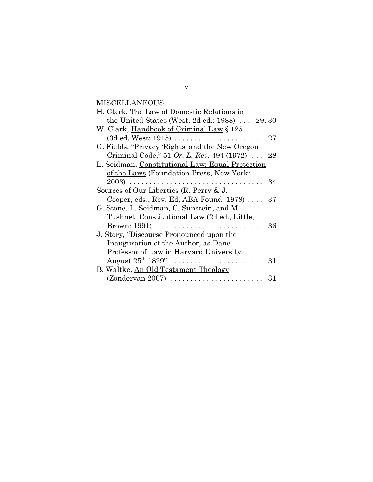**MISCELLANEOUS** 

| H. Clark, The Law of Domestic Relations in             |    |
|--------------------------------------------------------|----|
| the United States (West, 2d ed.: 1988) $\ldots$ 29, 30 |    |
| W. Clark, Handbook of Criminal Law § 125               |    |
| $(3d$ ed. West: 1915)                                  | 27 |
| G. Fields, "Privacy 'Rights' and the New Oregon        |    |
| Criminal Code," 51 Or. L. Rev. 494 (1972)  28          |    |
| L. Seidman, Constitutional Law: Equal Protection       |    |
| of the Laws (Foundation Press, New York:               |    |
|                                                        | 34 |
| Sources of Our Liberties $(R.$ Perry $& J.$            |    |
| Cooper, eds., Rev. Ed, ABA Found: $1978$               | 37 |
| G. Stone, L. Seidman, C. Sunstein, and M.              |    |
| Tushnet, Constitutional Law (2d ed., Little,           |    |
| Brown: $1991)$                                         | 36 |
| J. Story, "Discourse Pronounced upon the               |    |
| Inauguration of the Author, as Dane                    |    |
| Professor of Law in Harvard University,                |    |
|                                                        | 31 |
| B. Waltke, An Old Testament Theology                   |    |
|                                                        | 31 |

v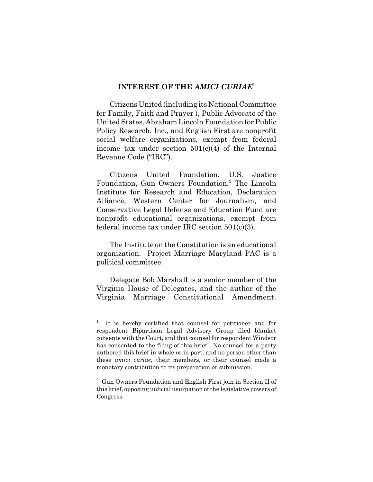#### **INTEREST OF THE** *AMICI CURIAE*<sup>1</sup>

Citizens United (including its National Committee for Family, Faith and Prayer ), Public Advocate of the United States, Abraham Lincoln Foundation for Public Policy Research, Inc., and English First are nonprofit social welfare organizations, exempt from federal income tax under section 501(c)(4) of the Internal Revenue Code ("IRC").

Citizens United Foundation, U.S. Justice Foundation, Gun Owners Foundation,<sup>2</sup> The Lincoln Institute for Research and Education, Declaration Alliance, Western Center for Journalism, and Conservative Legal Defense and Education Fund are nonprofit educational organizations, exempt from federal income tax under IRC section 501(c)(3).

The Institute on the Constitution is an educational organization. Project Marriage Maryland PAC is a political committee.

Delegate Bob Marshall is a senior member of the Virginia House of Delegates, and the author of the Virginia Marriage Constitutional Amendment.

<sup>1</sup> It is hereby certified that counsel for petitioner and for respondent Bipartisan Legal Advisory Group filed blanket consents with the Court, and that counsel for respondent Windsor has consented to the filing of this brief. No counsel for a party authored this brief in whole or in part, and no person other than these *amici curiae*, their members, or their counsel made a monetary contribution to its preparation or submission.

<sup>&</sup>lt;sup>2</sup> Gun Owners Foundation and English First join in Section II of this brief, opposing judicial usurpation of the legislative powers of Congress.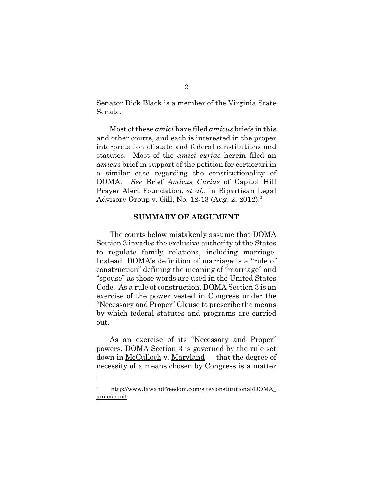Senator Dick Black is a member of the Virginia State Senate.

Most of these *amici* have filed *amicus* briefs in this and other courts, and each is interested in the proper interpretation of state and federal constitutions and statutes. Most of the *amici curiae* herein filed an *amicus* brief in support of the petition for certiorari in a similar case regarding the constitutionality of DOMA. *See* Brief *Amicus Curiae* of Capitol Hill Prayer Alert Foundation, *et al.*, in Bipartisan Legal Advisory Group v. Gill, No. 12-13 (Aug. 2, 2012).<sup>3</sup>

#### **SUMMARY OF ARGUMENT**

The courts below mistakenly assume that DOMA Section 3 invades the exclusive authority of the States to regulate family relations, including marriage. Instead, DOMA's definition of marriage is a "rule of construction" defining the meaning of "marriage" and "spouse" as those words are used in the United States Code. As a rule of construction, DOMA Section 3 is an exercise of the power vested in Congress under the "Necessary and Proper" Clause to prescribe the means by which federal statutes and programs are carried out.

As an exercise of its "Necessary and Proper" powers, DOMA Section 3 is governed by the rule set down in <u>McCulloch</u> v. Maryland — that the degree of necessity of a means chosen by Congress is a matter

<sup>3</sup> http://www.lawandfreedom.com/site/constitutional/DOMA\_ amicus.pdf.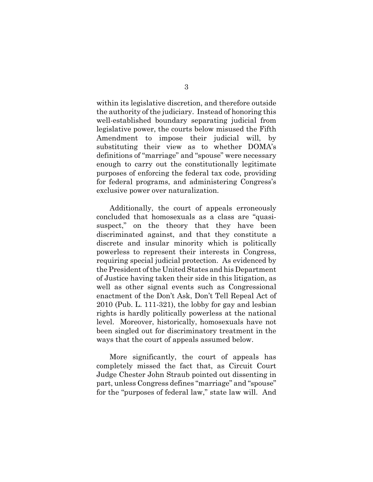within its legislative discretion, and therefore outside the authority of the judiciary. Instead of honoring this well-established boundary separating judicial from legislative power, the courts below misused the Fifth Amendment to impose their judicial will, by substituting their view as to whether DOMA's definitions of "marriage" and "spouse" were necessary enough to carry out the constitutionally legitimate purposes of enforcing the federal tax code, providing for federal programs, and administering Congress's exclusive power over naturalization.

Additionally, the court of appeals erroneously concluded that homosexuals as a class are "quasisuspect," on the theory that they have been discriminated against, and that they constitute a discrete and insular minority which is politically powerless to represent their interests in Congress, requiring special judicial protection. As evidenced by the President of the United States and his Department of Justice having taken their side in this litigation, as well as other signal events such as Congressional enactment of the Don't Ask, Don't Tell Repeal Act of 2010 (Pub. L. 111-321), the lobby for gay and lesbian rights is hardly politically powerless at the national level. Moreover, historically, homosexuals have not been singled out for discriminatory treatment in the ways that the court of appeals assumed below.

More significantly, the court of appeals has completely missed the fact that, as Circuit Court Judge Chester John Straub pointed out dissenting in part, unless Congress defines "marriage" and "spouse" for the "purposes of federal law," state law will. And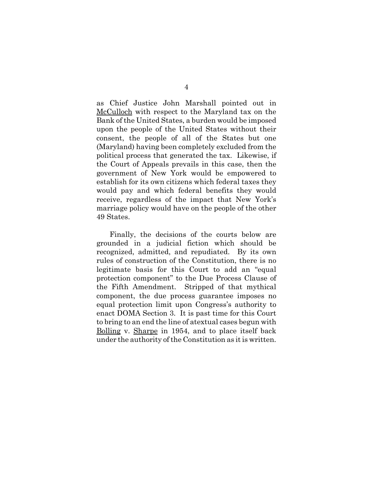as Chief Justice John Marshall pointed out in McCulloch with respect to the Maryland tax on the Bank of the United States, a burden would be imposed upon the people of the United States without their consent, the people of all of the States but one (Maryland) having been completely excluded from the political process that generated the tax. Likewise, if the Court of Appeals prevails in this case, then the government of New York would be empowered to establish for its own citizens which federal taxes they would pay and which federal benefits they would receive, regardless of the impact that New York's marriage policy would have on the people of the other 49 States.

Finally, the decisions of the courts below are grounded in a judicial fiction which should be recognized, admitted, and repudiated. By its own rules of construction of the Constitution, there is no legitimate basis for this Court to add an "equal protection component" to the Due Process Clause of the Fifth Amendment. Stripped of that mythical component, the due process guarantee imposes no equal protection limit upon Congress's authority to enact DOMA Section 3. It is past time for this Court to bring to an end the line of atextual cases begun with Bolling v. Sharpe in 1954, and to place itself back under the authority of the Constitution as it is written.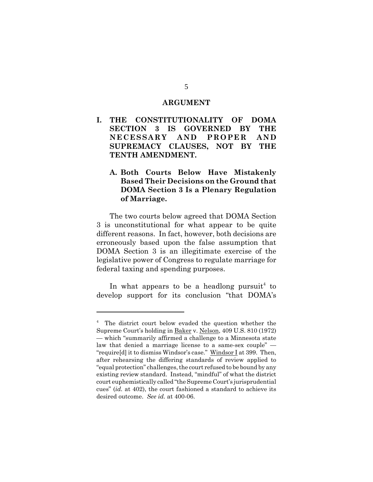#### **ARGUMENT**

- **I. THE CONSTITUTIONALITY OF DOMA SECTION 3 IS GOVERNED BY THE NECESSARY AND PROPER AND SUPREMACY CLAUSES, NOT BY THE TENTH AMENDMENT.**
	- **A. Both Courts Below Have Mistakenly Based Their Decisions on the Ground that DOMA Section 3 Is a Plenary Regulation of Marriage.**

The two courts below agreed that DOMA Section 3 is unconstitutional for what appear to be quite different reasons. In fact, however, both decisions are erroneously based upon the false assumption that DOMA Section 3 is an illegitimate exercise of the legislative power of Congress to regulate marriage for federal taxing and spending purposes.

In what appears to be a headlong pursuit<sup>4</sup> to develop support for its conclusion "that DOMA's

<sup>&</sup>lt;sup>4</sup> The district court below evaded the question whether the Supreme Court's holding in Baker v. Nelson, 409 U.S. 810 (1972) — which "summarily affirmed a challenge to a Minnesota state law that denied a marriage license to a same-sex couple" — "require[d] it to dismiss Windsor's case." Windsor I at 399. Then, after rehearsing the differing standards of review applied to "equal protection" challenges, the court refused to be bound by any existing review standard. Instead, "mindful" of what the district court euphemistically called "the Supreme Court's jurisprudential cues" (*id.* at 402), the court fashioned a standard to achieve its desired outcome. *See id.* at 400-06.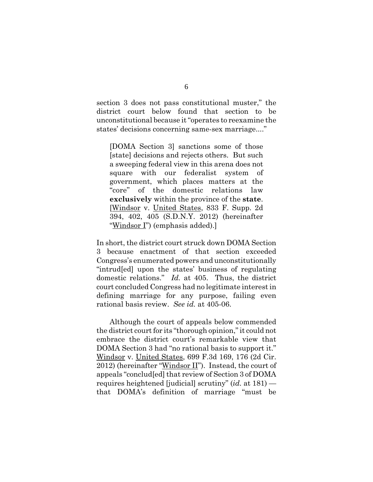section 3 does not pass constitutional muster," the district court below found that section to be unconstitutional because it "operates to reexamine the states' decisions concerning same-sex marriage...."

[DOMA Section 3] sanctions some of those [state] decisions and rejects others. But such a sweeping federal view in this arena does not square with our federalist system of government, which places matters at the "core" of the domestic relations law **exclusively** within the province of the **state**. [Windsor v. United States, 833 F. Supp. 2d 394, 402, 405 (S.D.N.Y. 2012) (hereinafter "Windsor I") (emphasis added).]

In short, the district court struck down DOMA Section 3 because enactment of that section exceeded Congress's enumerated powers and unconstitutionally "intrud[ed] upon the states' business of regulating domestic relations." *Id.* at 405. Thus, the district court concluded Congress had no legitimate interest in defining marriage for any purpose, failing even rational basis review. *See id.* at 405-06.

Although the court of appeals below commended the district court for its "thorough opinion," it could not embrace the district court's remarkable view that DOMA Section 3 had "no rational basis to support it." Windsor v. United States, 699 F.3d 169, 176 (2d Cir. 2012) (hereinafter "Windsor  $II$ "). Instead, the court of appeals "conclud[ed] that review of Section 3 of DOMA requires heightened [judicial] scrutiny" (*id.* at 181) that DOMA's definition of marriage "must be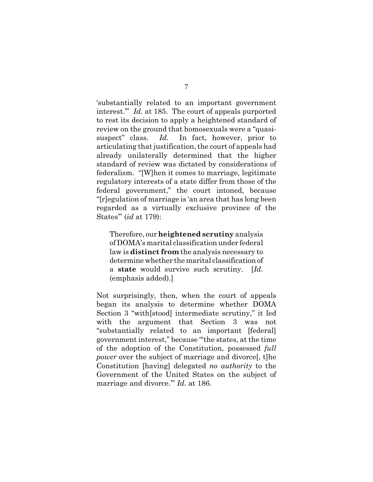'substantially related to an important government interest.'" *Id.* at 185. The court of appeals purported to rest its decision to apply a heightened standard of review on the ground that homosexuals were a "quasisuspect" class. *Id.* In fact, however, prior to articulating that justification, the court of appeals had already unilaterally determined that the higher standard of review was dictated by considerations of federalism. "[W]hen it comes to marriage, legitimate regulatory interests of a state differ from those of the federal government," the court intoned, because "[r]egulation of marriage is 'an area that has long been regarded as a virtually exclusive province of the States'" (*id* at 179):

Therefore, our **heightened scrutiny** analysis of DOMA's marital classification under federal law is **distinct from** the analysis necessary to determine whether the marital classification of a **state** would survive such scrutiny. [*Id*. (emphasis added).]

Not surprisingly, then, when the court of appeals began its analysis to determine whether DOMA Section 3 "with[stood] intermediate scrutiny," it led with the argument that Section 3 was not "substantially related to an important [federal] government interest," because "'the states, at the time of the adoption of the Constitution, possessed *full power* over the subject of marriage and divorce, the Constitution [having] delegated *no authority* to the Government of the United States on the subject of marriage and divorce.'" *Id.* at 186.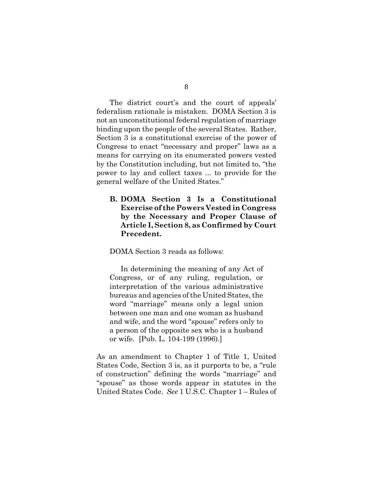The district court's and the court of appeals' federalism rationale is mistaken. DOMA Section 3 is not an unconstitutional federal regulation of marriage binding upon the people of the several States. Rather, Section 3 is a constitutional exercise of the power of Congress to enact "necessary and proper" laws as a means for carrying on its enumerated powers vested by the Constitution including, but not limited to, "the power to lay and collect taxes ... to provide for the general welfare of the United States."

**B. DOMA Section 3 Is a Constitutional Exercise of the Powers Vested in Congress by the Necessary and Proper Clause of Article I, Section 8, as Confirmed by Court Precedent.**

DOMA Section 3 reads as follows:

In determining the meaning of any Act of Congress, or of any ruling, regulation, or interpretation of the various administrative bureaus and agencies of the United States, the word "marriage" means only a legal union between one man and one woman as husband and wife, and the word "spouse" refers only to a person of the opposite sex who is a husband or wife. [Pub. L. 104-199 (1996).]

As an amendment to Chapter 1 of Title 1, United States Code, Section 3 is, as it purports to be, a "rule of construction" defining the words "marriage" and "spouse" as those words appear in statutes in the United States Code. *See* 1 U.S.C. Chapter 1 – Rules of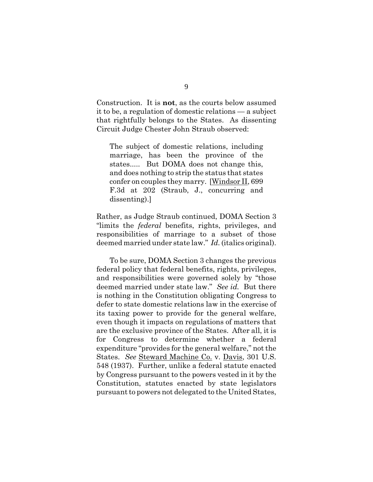Construction. It is **not**, as the courts below assumed it to be, a regulation of domestic relations — a subject that rightfully belongs to the States. As dissenting Circuit Judge Chester John Straub observed:

The subject of domestic relations, including marriage, has been the province of the states..... But DOMA does not change this, and does nothing to strip the status that states confer on couples they marry. [Windsor II, 699 F.3d at 202 (Straub, J., concurring and dissenting).]

Rather, as Judge Straub continued, DOMA Section 3 "limits the *federal* benefits, rights, privileges, and responsibilities of marriage to a subset of those deemed married under state law." *Id.* (italics original).

To be sure, DOMA Section 3 changes the previous federal policy that federal benefits, rights, privileges, and responsibilities were governed solely by "those deemed married under state law." *See id.* But there is nothing in the Constitution obligating Congress to defer to state domestic relations law in the exercise of its taxing power to provide for the general welfare, even though it impacts on regulations of matters that are the exclusive province of the States. After all, it is for Congress to determine whether a federal expenditure "provides for the general welfare," not the States. *See* Steward Machine Co. v. Davis, 301 U.S. 548 (1937). Further, unlike a federal statute enacted by Congress pursuant to the powers vested in it by the Constitution, statutes enacted by state legislators pursuant to powers not delegated to the United States,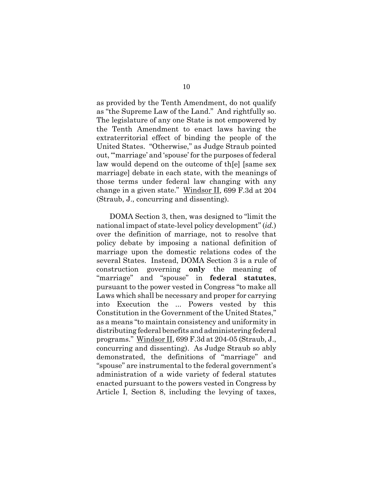as provided by the Tenth Amendment, do not qualify as "the Supreme Law of the Land." And rightfully so. The legislature of any one State is not empowered by the Tenth Amendment to enact laws having the extraterritorial effect of binding the people of the United States. "Otherwise," as Judge Straub pointed out, "'marriage' and 'spouse' for the purposes of federal law would depend on the outcome of th[e] [same sex marriage] debate in each state, with the meanings of those terms under federal law changing with any change in a given state." Windsor II, 699 F.3d at 204 (Straub, J., concurring and dissenting).

DOMA Section 3, then, was designed to "limit the national impact of state-level policy development" (*id.*) over the definition of marriage, not to resolve that policy debate by imposing a national definition of marriage upon the domestic relations codes of the several States. Instead, DOMA Section 3 is a rule of construction governing **only** the meaning of "marriage" and "spouse" in **federal statutes**, pursuant to the power vested in Congress "to make all Laws which shall be necessary and proper for carrying into Execution the ... Powers vested by this Constitution in the Government of the United States," as a means "to maintain consistency and uniformity in distributing federal benefits and administering federal programs." Windsor II, 699 F.3d at 204-05 (Straub, J., concurring and dissenting). As Judge Straub so ably demonstrated, the definitions of "marriage" and "spouse" are instrumental to the federal government's administration of a wide variety of federal statutes enacted pursuant to the powers vested in Congress by Article I, Section 8, including the levying of taxes,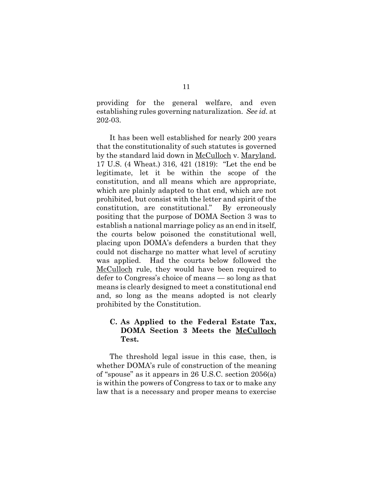providing for the general welfare, and even establishing rules governing naturalization. *See id.* at 202-03.

It has been well established for nearly 200 years that the constitutionality of such statutes is governed by the standard laid down in McCulloch v. Maryland, 17 U.S. (4 Wheat.) 316, 421 (1819): "Let the end be legitimate, let it be within the scope of the constitution, and all means which are appropriate, which are plainly adapted to that end, which are not prohibited, but consist with the letter and spirit of the constitution, are constitutional." By erroneously positing that the purpose of DOMA Section 3 was to establish a national marriage policy as an end in itself, the courts below poisoned the constitutional well, placing upon DOMA's defenders a burden that they could not discharge no matter what level of scrutiny was applied. Had the courts below followed the McCulloch rule, they would have been required to defer to Congress's choice of means — so long as that means is clearly designed to meet a constitutional end and, so long as the means adopted is not clearly prohibited by the Constitution.

### **C. As Applied to the Federal Estate Tax, DOMA Section 3 Meets the McCulloch Test.**

The threshold legal issue in this case, then, is whether DOMA's rule of construction of the meaning of "spouse" as it appears in 26 U.S.C. section 2056(a) is within the powers of Congress to tax or to make any law that is a necessary and proper means to exercise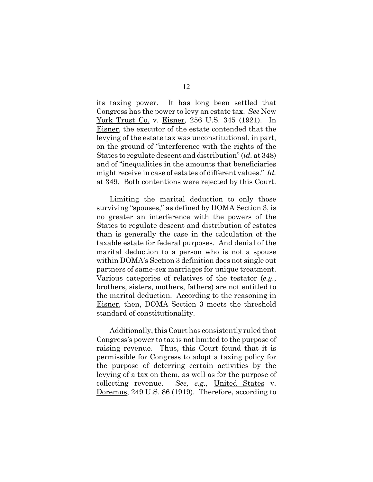its taxing power. It has long been settled that Congress has the power to levy an estate tax. *See* New York Trust Co. v. Eisner, 256 U.S. 345 (1921). In Eisner, the executor of the estate contended that the levying of the estate tax was unconstitutional, in part, on the ground of "interference with the rights of the States to regulate descent and distribution" (*id.* at 348) and of "inequalities in the amounts that beneficiaries might receive in case of estates of different values." *Id.* at 349. Both contentions were rejected by this Court.

Limiting the marital deduction to only those surviving "spouses," as defined by DOMA Section 3, is no greater an interference with the powers of the States to regulate descent and distribution of estates than is generally the case in the calculation of the taxable estate for federal purposes. And denial of the marital deduction to a person who is not a spouse within DOMA's Section 3 definition does not single out partners of same-sex marriages for unique treatment. Various categories of relatives of the testator (*e.g.*, brothers, sisters, mothers, fathers) are not entitled to the marital deduction. According to the reasoning in Eisner, then, DOMA Section 3 meets the threshold standard of constitutionality.

Additionally, this Court has consistently ruled that Congress's power to tax is not limited to the purpose of raising revenue. Thus, this Court found that it is permissible for Congress to adopt a taxing policy for the purpose of deterring certain activities by the levying of a tax on them, as well as for the purpose of collecting revenue. *See, e.g.,* United States v. Doremus, 249 U.S. 86 (1919). Therefore, according to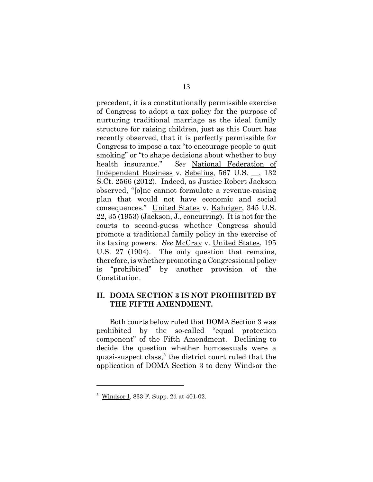precedent, it is a constitutionally permissible exercise of Congress to adopt a tax policy for the purpose of nurturing traditional marriage as the ideal family structure for raising children, just as this Court has recently observed, that it is perfectly permissible for Congress to impose a tax "to encourage people to quit smoking" or "to shape decisions about whether to buy health insurance." *See* National Federation of Independent Business v. Sebelius, 567 U.S. \_\_, 132 S.Ct. 2566 (2012). Indeed, as Justice Robert Jackson observed, "[o]ne cannot formulate a revenue-raising plan that would not have economic and social consequences." United States v. Kahriger, 345 U.S. 22, 35 (1953) (Jackson, J., concurring). It is not for the courts to second-guess whether Congress should promote a traditional family policy in the exercise of its taxing powers. *See* McCray v. United States, 195 U.S. 27 (1904). The only question that remains, therefore, is whether promoting a Congressional policy is "prohibited" by another provision of the Constitution.

#### **II. DOMA SECTION 3 IS NOT PROHIBITED BY THE FIFTH AMENDMENT.**

Both courts below ruled that DOMA Section 3 was prohibited by the so-called "equal protection component" of the Fifth Amendment. Declining to decide the question whether homosexuals were a quasi-suspect class,<sup>5</sup> the district court ruled that the application of DOMA Section 3 to deny Windsor the

<sup>&</sup>lt;sup>5</sup> Windsor I, 833 F. Supp. 2d at 401-02.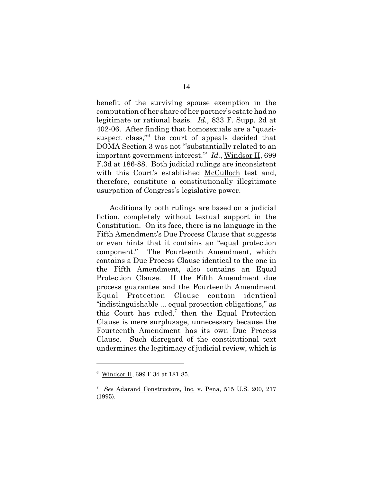benefit of the surviving spouse exemption in the computation of her share of her partner's estate had no legitimate or rational basis. *Id.*, 833 F. Supp. 2d at 402-06. After finding that homosexuals are a "quasisuspect class,<sup>76</sup> the court of appeals decided that DOMA Section 3 was not "'substantially related to an important government interest.'" *Id.*, Windsor II, 699 F.3d at 186-88. Both judicial rulings are inconsistent with this Court's established McCulloch test and, therefore, constitute a constitutionally illegitimate usurpation of Congress's legislative power.

Additionally both rulings are based on a judicial fiction, completely without textual support in the Constitution. On its face, there is no language in the Fifth Amendment's Due Process Clause that suggests or even hints that it contains an "equal protection component." The Fourteenth Amendment, which contains a Due Process Clause identical to the one in the Fifth Amendment, also contains an Equal Protection Clause. If the Fifth Amendment due process guarantee and the Fourteenth Amendment Equal Protection Clause contain identical "indistinguishable ... equal protection obligations," as this Court has ruled,<sup>7</sup> then the Equal Protection Clause is mere surplusage, unnecessary because the Fourteenth Amendment has its own Due Process Clause. Such disregard of the constitutional text undermines the legitimacy of judicial review, which is

<sup>6</sup> Windsor II, 699 F.3d at 181-85.

<sup>7</sup> *See* Adarand Constructors, Inc. v. Pena, 515 U.S. 200, 217 (1995).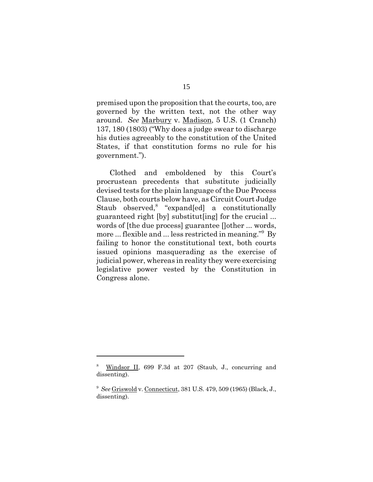premised upon the proposition that the courts, too, are governed by the written text, not the other way around. *See* Marbury v. Madison, 5 U.S. (1 Cranch) 137, 180 (1803) ("Why does a judge swear to discharge his duties agreeably to the constitution of the United States, if that constitution forms no rule for his government.").

Clothed and emboldened by this Court's procrustean precedents that substitute judicially devised tests for the plain language of the Due Process Clause, both courts below have, as Circuit Court Judge Staub observed,<sup>8</sup> "expand[ed] a constitutionally guaranteed right [by] substitut[ing] for the crucial ... words of [the due process] guarantee []other ... words, more ... flexible and ... less restricted in meaning."9 By failing to honor the constitutional text, both courts issued opinions masquerading as the exercise of judicial power, whereas in reality they were exercising legislative power vested by the Constitution in Congress alone.

<sup>8</sup> Windsor II, 699 F.3d at 207 (Staub, J., concurring and dissenting).

<sup>9</sup> *See* Griswold v. Connecticut, 381 U.S. 479, 509 (1965) (Black, J., dissenting).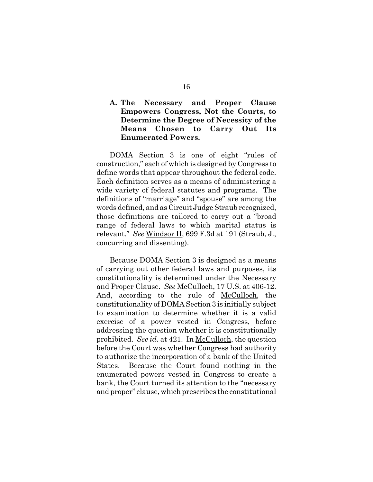### **A. The Necessary and Proper Clause Empowers Congress, Not the Courts, to Determine the Degree of Necessity of the Means Chosen to Carry Out Its Enumerated Powers.**

DOMA Section 3 is one of eight "rules of construction," each of which is designed by Congress to define words that appear throughout the federal code. Each definition serves as a means of administering a wide variety of federal statutes and programs. The definitions of "marriage" and "spouse" are among the words defined, and as Circuit Judge Straub recognized, those definitions are tailored to carry out a "broad range of federal laws to which marital status is relevant." *See* Windsor II, 699 F.3d at 191 (Straub, J., concurring and dissenting).

Because DOMA Section 3 is designed as a means of carrying out other federal laws and purposes, its constitutionality is determined under the Necessary and Proper Clause. *See* McCulloch, 17 U.S. at 406-12. And, according to the rule of McCulloch, the constitutionality of DOMA Section 3 is initially subject to examination to determine whether it is a valid exercise of a power vested in Congress, before addressing the question whether it is constitutionally prohibited. *See id.* at 421. In McCulloch, the question before the Court was whether Congress had authority to authorize the incorporation of a bank of the United States. Because the Court found nothing in the enumerated powers vested in Congress to create a bank, the Court turned its attention to the "necessary and proper" clause, which prescribes the constitutional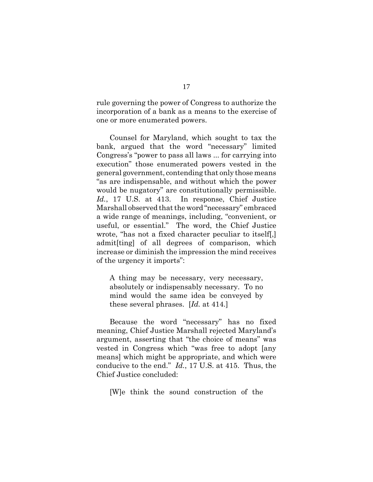rule governing the power of Congress to authorize the incorporation of a bank as a means to the exercise of one or more enumerated powers.

Counsel for Maryland, which sought to tax the bank, argued that the word "necessary" limited Congress's "power to pass all laws ... for carrying into execution" those enumerated powers vested in the general government, contending that only those means "as are indispensable, and without which the power would be nugatory" are constitutionally permissible. *Id.*, 17 U.S. at 413. In response, Chief Justice Marshall observed that the word "necessary" embraced a wide range of meanings, including, "convenient, or useful, or essential." The word, the Chief Justice wrote, "has not a fixed character peculiar to itself[,] admit[ting] of all degrees of comparison, which increase or diminish the impression the mind receives of the urgency it imports":

A thing may be necessary, very necessary, absolutely or indispensably necessary. To no mind would the same idea be conveyed by these several phrases. [*Id.* at 414.]

Because the word "necessary" has no fixed meaning, Chief Justice Marshall rejected Maryland's argument, asserting that "the choice of means" was vested in Congress which "was free to adopt [any means] which might be appropriate, and which were conducive to the end." *Id.*, 17 U.S. at 415. Thus, the Chief Justice concluded:

[W]e think the sound construction of the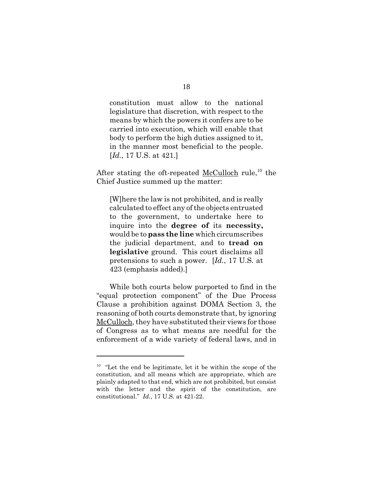constitution must allow to the national legislature that discretion, with respect to the means by which the powers it confers are to be carried into execution, which will enable that body to perform the high duties assigned to it, in the manner most beneficial to the people. [*Id.*, 17 U.S. at 421.]

After stating the oft-repeated McCulloch rule,<sup>10</sup> the Chief Justice summed up the matter:

[W]here the law is not prohibited, and is really calculated to effect any of the objects entrusted to the government, to undertake here to inquire into the **degree of** its **necessity,** would be to **pass the line** which circumscribes the judicial department, and to **tread on legislative** ground. This court disclaims all pretensions to such a power. [*Id.*, 17 U.S. at 423 (emphasis added).]

While both courts below purported to find in the "equal protection component" of the Due Process Clause a prohibition against DOMA Section 3, the reasoning of both courts demonstrate that, by ignoring McCulloch, they have substituted their views for those of Congress as to what means are needful for the enforcement of a wide variety of federal laws, and in

 $10$  "Let the end be legitimate, let it be within the scope of the constitution, and all means which are appropriate, which are plainly adapted to that end, which are not prohibited, but consist with the letter and the spirit of the constitution, are constitutional." *Id.*, 17 U.S. at 421-22.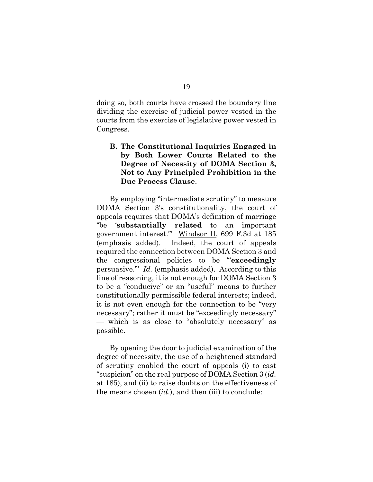doing so, both courts have crossed the boundary line dividing the exercise of judicial power vested in the courts from the exercise of legislative power vested in Congress.

### **B. The Constitutional Inquiries Engaged in by Both Lower Courts Related to the Degree of Necessity of DOMA Section 3, Not to Any Principled Prohibition in the Due Process Clause**.

By employing "intermediate scrutiny" to measure DOMA Section 3's constitutionality, the court of appeals requires that DOMA's definition of marriage "be '**substantially related** to an important government interest.'" Windsor II, 699 F.3d at 185 (emphasis added). Indeed, the court of appeals required the connection between DOMA Section 3 and the congressional policies to be "'**exceedingly** persuasive.'" *Id.* (emphasis added). According to this line of reasoning, it is not enough for DOMA Section 3 to be a "conducive" or an "useful" means to further constitutionally permissible federal interests; indeed, it is not even enough for the connection to be "very necessary"; rather it must be "exceedingly necessary" — which is as close to "absolutely necessary" as possible.

By opening the door to judicial examination of the degree of necessity, the use of a heightened standard of scrutiny enabled the court of appeals (i) to cast "suspicion" on the real purpose of DOMA Section 3 (*id.* at 185), and (ii) to raise doubts on the effectiveness of the means chosen (*id*.), and then (iii) to conclude: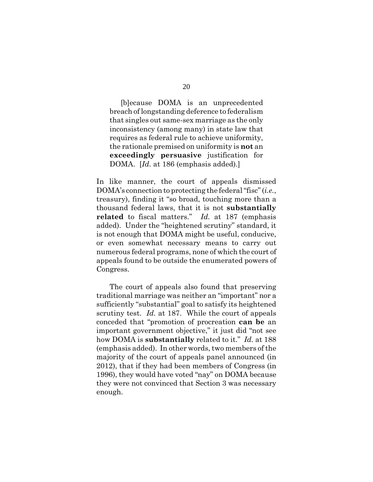20

[b]ecause DOMA is an unprecedented breach of longstanding deference to federalism that singles out same-sex marriage as the only inconsistency (among many) in state law that requires as federal rule to achieve uniformity, the rationale premised on uniformity is **not** an **exceedingly persuasive** justification for DOMA. [*Id.* at 186 (emphasis added).]

In like manner, the court of appeals dismissed DOMA's connection to protecting the federal "fisc" (*i.e.*, treasury), finding it "so broad, touching more than a thousand federal laws, that it is not **substantially related** to fiscal matters." *Id.* at 187 (emphasis added). Under the "heightened scrutiny" standard, it is not enough that DOMA might be useful, conducive, or even somewhat necessary means to carry out numerous federal programs, none of which the court of appeals found to be outside the enumerated powers of Congress.

The court of appeals also found that preserving traditional marriage was neither an "important" nor a sufficiently "substantial" goal to satisfy its heightened scrutiny test. *Id.* at 187. While the court of appeals conceded that "promotion of procreation **can be** an important government objective," it just did "not see how DOMA is **substantially** related to it." *Id.* at 188 (emphasis added). In other words, two members of the majority of the court of appeals panel announced (in 2012), that if they had been members of Congress (in 1996), they would have voted "nay" on DOMA because they were not convinced that Section 3 was necessary enough.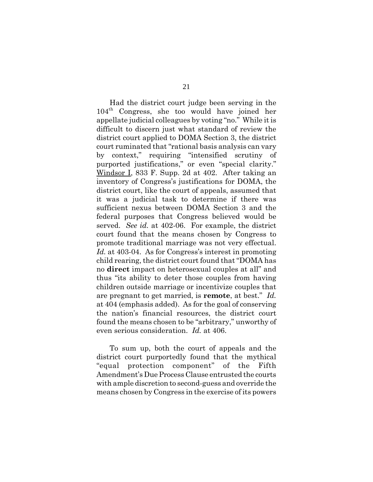Had the district court judge been serving in the 104th Congress, she too would have joined her appellate judicial colleagues by voting "no." While it is difficult to discern just what standard of review the district court applied to DOMA Section 3, the district court ruminated that "rational basis analysis can vary by context," requiring "intensified scrutiny of purported justifications," or even "special clarity." Windsor I, 833 F. Supp. 2d at 402. After taking an inventory of Congress's justifications for DOMA, the district court, like the court of appeals, assumed that it was a judicial task to determine if there was sufficient nexus between DOMA Section 3 and the federal purposes that Congress believed would be served. *See id.* at 402-06. For example, the district court found that the means chosen by Congress to promote traditional marriage was not very effectual. *Id.* at 403-04. As for Congress's interest in promoting child rearing, the district court found that "DOMA has no **direct** impact on heterosexual couples at all" and thus "its ability to deter those couples from having children outside marriage or incentivize couples that are pregnant to get married, is **remote**, at best." *Id.* at 404 (emphasis added). As for the goal of conserving the nation's financial resources, the district court found the means chosen to be "arbitrary," unworthy of even serious consideration. *Id.* at 406.

To sum up, both the court of appeals and the district court purportedly found that the mythical "equal protection component" of the Fifth Amendment's Due Process Clause entrusted the courts with ample discretion to second-guess and override the means chosen by Congress in the exercise of its powers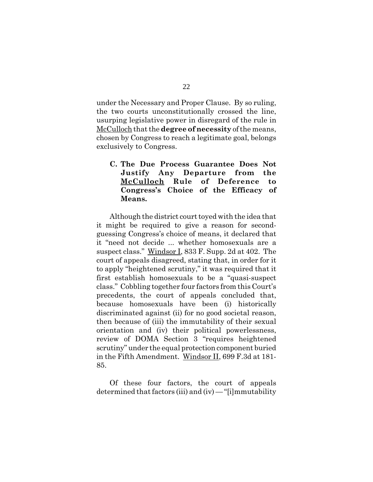under the Necessary and Proper Clause. By so ruling, the two courts unconstitutionally crossed the line, usurping legislative power in disregard of the rule in McCulloch that the **degree of necessity** of the means, chosen by Congress to reach a legitimate goal, belongs exclusively to Congress.

### **C. The Due Process Guarantee Does Not Justify Any Departure from the McCulloch Rule of Deference to Congress's Choice of the Efficacy of Means.**

Although the district court toyed with the idea that it might be required to give a reason for secondguessing Congress's choice of means, it declared that it "need not decide ... whether homosexuals are a suspect class." Windsor I, 833 F. Supp. 2d at 402. The court of appeals disagreed, stating that, in order for it to apply "heightened scrutiny," it was required that it first establish homosexuals to be a "quasi-suspect class." Cobbling together four factors from this Court's precedents, the court of appeals concluded that, because homosexuals have been (i) historically discriminated against (ii) for no good societal reason, then because of (iii) the immutability of their sexual orientation and (iv) their political powerlessness, review of DOMA Section 3 "requires heightened scrutiny" under the equal protection component buried in the Fifth Amendment. Windsor II, 699 F.3d at 181- 85.

Of these four factors, the court of appeals determined that factors (iii) and (iv) — "[i]mmutability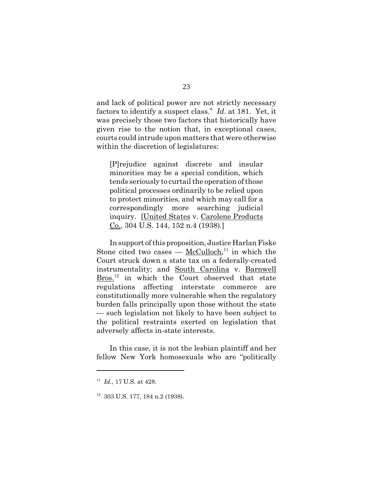and lack of political power are not strictly necessary factors to identify a suspect class." *Id.* at 181. Yet, it was precisely those two factors that historically have given rise to the notion that, in exceptional cases, courts could intrude upon matters that were otherwise within the discretion of legislatures:

[P]rejudice against discrete and insular minorities may be a special condition, which tends seriously to curtail the operation of those political processes ordinarily to be relied upon to protect minorities, and which may call for a correspondingly more searching judicial inquiry. [United States v. Carolene Products Co., 304 U.S. 144, 152 n.4 (1938).]

In support of this proposition, Justice Harlan Fiske Stone cited two cases —  $McCulloch<sup>11</sup>$  in which the</u> Court struck down a state tax on a federally-created instrumentality; and South Carolina v. Barnwell Bros.<sup>12</sup> in which the Court observed that state regulations affecting interstate commerce are constitutionally more vulnerable when the regulatory burden falls principally upon those without the state — such legislation not likely to have been subject to the political restraints exerted on legislation that adversely affects in-state interests.

In this case, it is not the lesbian plaintiff and her fellow New York homosexuals who are "politically

<sup>11</sup> *Id.*, 17 U.S. at 428.

<sup>12 303</sup> U.S. 177, 184 n.2 (1938).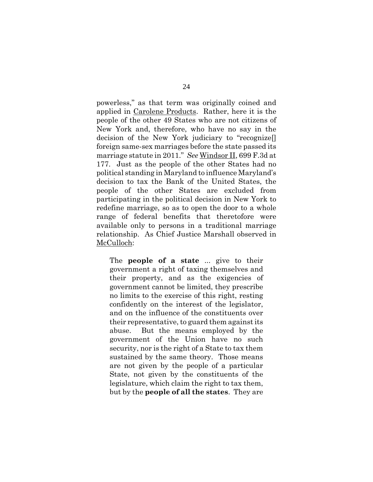powerless," as that term was originally coined and applied in Carolene Products. Rather, here it is the people of the other 49 States who are not citizens of New York and, therefore, who have no say in the decision of the New York judiciary to "recognize[] foreign same-sex marriages before the state passed its marriage statute in 2011." *See* Windsor II, 699 F.3d at 177. Just as the people of the other States had no political standing in Maryland to influence Maryland's decision to tax the Bank of the United States, the people of the other States are excluded from participating in the political decision in New York to redefine marriage, so as to open the door to a whole range of federal benefits that theretofore were available only to persons in a traditional marriage relationship. As Chief Justice Marshall observed in McCulloch:

The **people of a state** ... give to their government a right of taxing themselves and their property, and as the exigencies of government cannot be limited, they prescribe no limits to the exercise of this right, resting confidently on the interest of the legislator, and on the influence of the constituents over their representative, to guard them against its abuse. But the means employed by the government of the Union have no such security, nor is the right of a State to tax them sustained by the same theory. Those means are not given by the people of a particular State, not given by the constituents of the legislature, which claim the right to tax them, but by the **people of all the states**. They are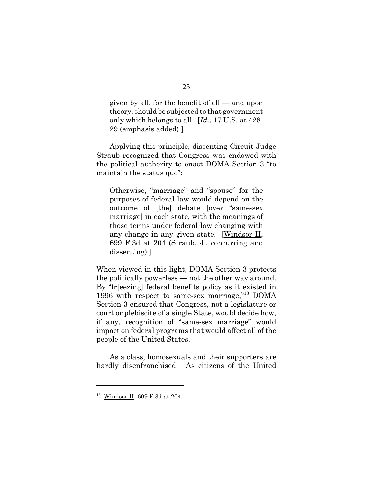given by all, for the benefit of all — and upon theory, should be subjected to that government only which belongs to all. [*Id.*, 17 U.S. at 428- 29 (emphasis added).]

Applying this principle, dissenting Circuit Judge Straub recognized that Congress was endowed with the political authority to enact DOMA Section 3 "to maintain the status quo":

Otherwise, "marriage" and "spouse" for the purposes of federal law would depend on the outcome of [the] debate [over "same-sex marriage] in each state, with the meanings of those terms under federal law changing with any change in any given state. [Windsor II, 699 F.3d at 204 (Straub, J., concurring and dissenting).]

When viewed in this light, DOMA Section 3 protects the politically powerless — not the other way around. By "fr[eezing] federal benefits policy as it existed in 1996 with respect to same-sex marriage,"13 DOMA Section 3 ensured that Congress, not a legislature or court or plebiscite of a single State, would decide how, if any, recognition of "same-sex marriage" would impact on federal programs that would affect all of the people of the United States.

As a class, homosexuals and their supporters are hardly disenfranchised. As citizens of the United

<sup>13</sup> Windsor II, 699 F.3d at 204.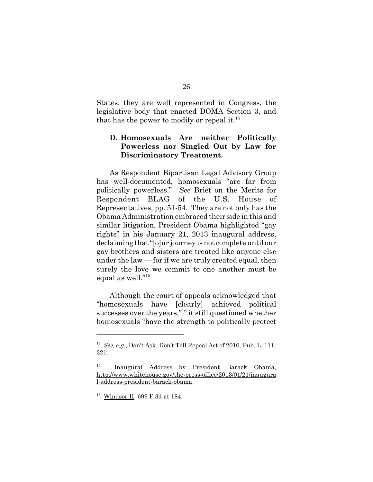States, they are well represented in Congress, the legislative body that enacted DOMA Section 3, and that has the power to modify or repeal it.<sup>14</sup>

#### **D. Homosexuals Are neither Politically Powerless nor Singled Out by Law for Discriminatory Treatment.**

As Respondent Bipartisan Legal Advisory Group has well-documented, homosexuals "are far from politically powerless." *See* Brief on the Merits for Respondent BLAG of the U.S. House of Representatives, pp. 51-54. They are not only has the Obama Administration embraced their side in this and similar litigation, President Obama highlighted "gay rights" in his January 21, 2013 inaugural address, declaiming that "[o]ur journey is not complete until our gay brothers and sisters are treated like anyone else under the law — for if we are truly created equal, then surely the love we commit to one another must be equal as well."15

Although the court of appeals acknowledged that "homosexuals have [clearly] achieved political successes over the years,"<sup>16</sup> it still questioned whether homosexuals "have the strength to politically protect

<sup>14</sup> *See, e.g.*, Don't Ask, Don't Tell Repeal Act of 2010, Pub. L. 111- 321.

<sup>15</sup> Inaugural Address by President Barack Obama, http://www.whitehouse.gov/the-press-office/2013/01/21/inaugura l-address-president-barack-obama.

<sup>16</sup> Windsor II, 699 F.3d at 184.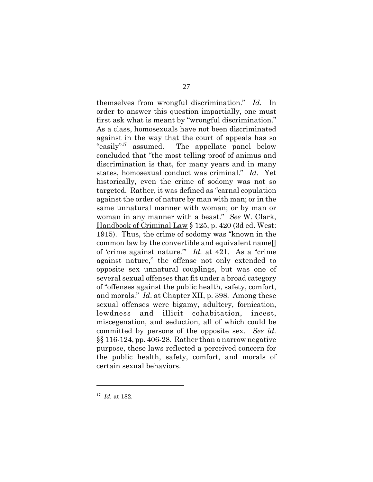themselves from wrongful discrimination." *Id.* In order to answer this question impartially, one must first ask what is meant by "wrongful discrimination." As a class, homosexuals have not been discriminated against in the way that the court of appeals has so "easily"<sup>17</sup> assumed. The appellate panel below concluded that "the most telling proof of animus and discrimination is that, for many years and in many states, homosexual conduct was criminal." *Id.* Yet historically, even the crime of sodomy was not so targeted. Rather, it was defined as "carnal copulation against the order of nature by man with man; or in the same unnatural manner with woman; or by man or woman in any manner with a beast." *See* W. Clark, Handbook of Criminal Law § 125, p. 420 (3d ed. West: 1915). Thus, the crime of sodomy was "known in the common law by the convertible and equivalent name[] of 'crime against nature.'" *Id.* at 421. As a "crime against nature," the offense not only extended to opposite sex unnatural couplings, but was one of several sexual offenses that fit under a broad category of "offenses against the public health, safety, comfort, and morals." *Id*. at Chapter XII, p. 398. Among these sexual offenses were bigamy, adultery, fornication, lewdness and illicit cohabitation, incest, miscegenation, and seduction, all of which could be committed by persons of the opposite sex. *See id*. §§ 116-124, pp. 406-28. Rather than a narrow negative purpose, these laws reflected a perceived concern for the public health, safety, comfort, and morals of certain sexual behaviors.

<sup>17</sup> *Id.* at 182.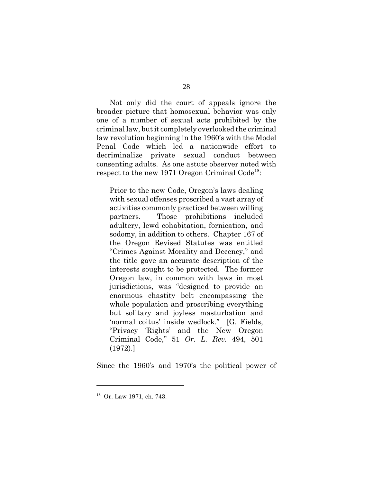Not only did the court of appeals ignore the broader picture that homosexual behavior was only one of a number of sexual acts prohibited by the criminal law, but it completely overlooked the criminal law revolution beginning in the 1960's with the Model Penal Code which led a nationwide effort to decriminalize private sexual conduct between consenting adults. As one astute observer noted with respect to the new 1971 Oregon Criminal Code<sup>18</sup>:

Prior to the new Code, Oregon's laws dealing with sexual offenses proscribed a vast array of activities commonly practiced between willing partners. Those prohibitions included adultery, lewd cohabitation, fornication, and sodomy, in addition to others. Chapter 167 of the Oregon Revised Statutes was entitled "Crimes Against Morality and Decency," and the title gave an accurate description of the interests sought to be protected. The former Oregon law, in common with laws in most jurisdictions, was "designed to provide an enormous chastity belt encompassing the whole population and proscribing everything but solitary and joyless masturbation and 'normal coitus' inside wedlock." [G. Fields, "Privacy 'Rights' and the New Oregon Criminal Code," 51 *Or. L. Rev.* 494, 501 (1972).]

Since the 1960's and 1970's the political power of

<sup>18</sup> Or. Law 1971, ch. 743.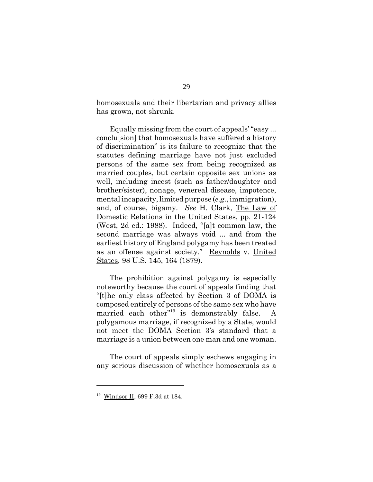homosexuals and their libertarian and privacy allies has grown, not shrunk.

Equally missing from the court of appeals' "easy ... conclu[sion] that homosexuals have suffered a history of discrimination" is its failure to recognize that the statutes defining marriage have not just excluded persons of the same sex from being recognized as married couples, but certain opposite sex unions as well, including incest (such as father/daughter and brother/sister), nonage, venereal disease, impotence, mental incapacity, limited purpose (*e.g*., immigration), and, of course, bigamy. *See* H. Clark, The Law of Domestic Relations in the United States, pp. 21-124 (West, 2d ed.: 1988). Indeed, "[a]t common law, the second marriage was always void ... and from the earliest history of England polygamy has been treated as an offense against society." Reynolds v. United States, 98 U.S. 145, 164 (1879).

The prohibition against polygamy is especially noteworthy because the court of appeals finding that "[t]he only class affected by Section 3 of DOMA is composed entirely of persons of the same sex who have married each other"19 is demonstrably false. A polygamous marriage, if recognized by a State, would not meet the DOMA Section 3's standard that a marriage is a union between one man and one woman.

The court of appeals simply eschews engaging in any serious discussion of whether homosexuals as a

<sup>19</sup> Windsor II, 699 F.3d at 184.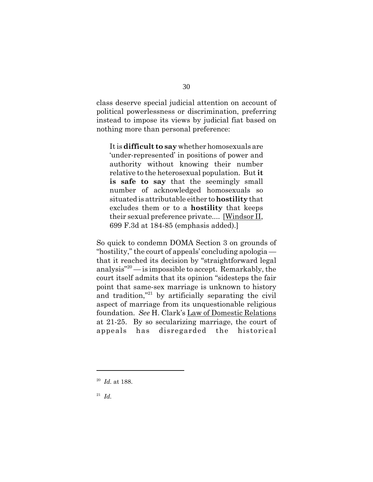class deserve special judicial attention on account of political powerlessness or discrimination, preferring instead to impose its views by judicial fiat based on nothing more than personal preference:

It is **difficult to say** whether homosexuals are 'under-represented' in positions of power and authority without knowing their number relative to the heterosexual population. But **it is safe to say** that the seemingly small number of acknowledged homosexuals so situated is attributable either to **hostility** that excludes them or to a **hostility** that keeps their sexual preference private.... [Windsor II, 699 F.3d at 184-85 (emphasis added).]

So quick to condemn DOMA Section 3 on grounds of "hostility," the court of appeals' concluding apologia that it reached its decision by "straightforward legal analysis"20 — is impossible to accept. Remarkably, the court itself admits that its opinion "sidesteps the fair point that same-sex marriage is unknown to history and tradition,"<sup>21</sup> by artificially separating the civil aspect of marriage from its unquestionable religious foundation. *See* H. Clark's Law of Domestic Relations at 21-25. By so secularizing marriage, the court of appeals has disregarded the historical

<sup>20</sup> *Id.* at 188.

<sup>21</sup> *Id.*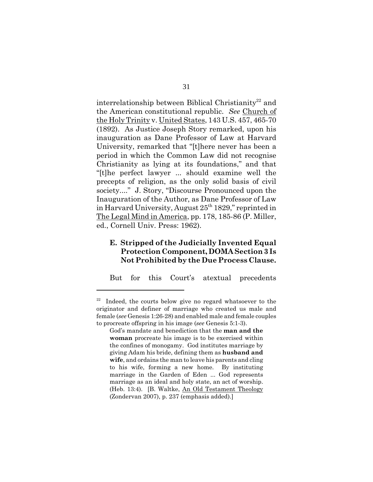interrelationship between Biblical Christianity<sup>22</sup> and the American constitutional republic. *See* Church of the Holy Trinity v. United States, 143 U.S. 457, 465-70 (1892). As Justice Joseph Story remarked, upon his inauguration as Dane Professor of Law at Harvard University, remarked that "[t]here never has been a period in which the Common Law did not recognise Christianity as lying at its foundations," and that "[t]he perfect lawyer ... should examine well the precepts of religion, as the only solid basis of civil society...." J. Story, "Discourse Pronounced upon the Inauguration of the Author, as Dane Professor of Law in Harvard University, August  $25<sup>th</sup> 1829$ ," reprinted in The Legal Mind in America, pp. 178, 185-86 (P. Miller, ed., Cornell Univ. Press: 1962).

#### **E. Stripped of the Judicially Invented Equal Protection Component, DOMA Section 3 Is Not Prohibited by the Due Process Clause.**

But for this Court's atextual precedents

<sup>&</sup>lt;sup>22</sup> Indeed, the courts below give no regard whatsoever to the originator and definer of marriage who created us male and female (*see* Genesis 1:26-28) and enabled male and female couples to procreate offspring in his image (*see* Genesis 5:1-3).

God's mandate and benediction that the **man and the woman** procreate his image is to be exercised within the confines of monogamy. God institutes marriage by giving Adam his bride, defining them as **husband and wife**, and ordains the man to leave his parents and cling to his wife, forming a new home. By instituting marriage in the Garden of Eden ... God represents marriage as an ideal and holy state, an act of worship. (Heb. 13:4). [B. Waltke, An Old Testament Theology (Zondervan 2007), p. 237 (emphasis added).]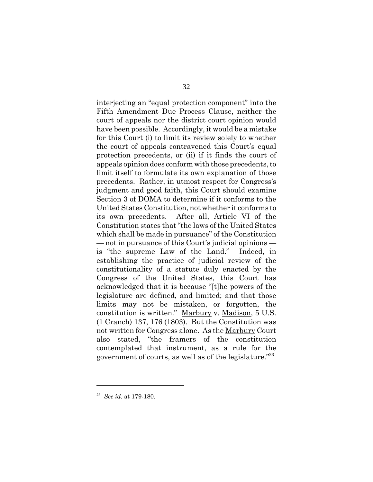interjecting an "equal protection component" into the Fifth Amendment Due Process Clause, neither the court of appeals nor the district court opinion would have been possible. Accordingly, it would be a mistake for this Court (i) to limit its review solely to whether the court of appeals contravened this Court's equal protection precedents, or (ii) if it finds the court of appeals opinion does conform with those precedents, to limit itself to formulate its own explanation of those precedents. Rather, in utmost respect for Congress's judgment and good faith, this Court should examine Section 3 of DOMA to determine if it conforms to the United States Constitution, not whether it conforms to its own precedents. After all, Article VI of the Constitution states that "the laws of the United States which shall be made in pursuance" of the Constitution — not in pursuance of this Court's judicial opinions is "the supreme Law of the Land." Indeed, in establishing the practice of judicial review of the constitutionality of a statute duly enacted by the Congress of the United States, this Court has acknowledged that it is because "[t]he powers of the legislature are defined, and limited; and that those limits may not be mistaken, or forgotten, the constitution is written." Marbury v. Madison, 5 U.S. (1 Cranch) 137, 176 (1803). But the Constitution was not written for Congress alone. As the Marbury Court also stated, "the framers of the constitution contemplated that instrument, as a rule for the government of courts, as well as of the legislature."23

<sup>23</sup> *See id.* at 179-180.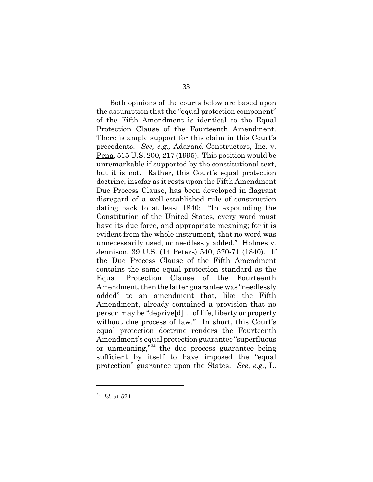Both opinions of the courts below are based upon the assumption that the "equal protection component" of the Fifth Amendment is identical to the Equal Protection Clause of the Fourteenth Amendment. There is ample support for this claim in this Court's precedents. *See, e.g.,* Adarand Constructors, Inc. v. Pena, 515 U.S. 200, 217 (1995). This position would be unremarkable if supported by the constitutional text, but it is not. Rather, this Court's equal protection doctrine, insofar as it rests upon the Fifth Amendment Due Process Clause, has been developed in flagrant disregard of a well-established rule of construction dating back to at least 1840: "In expounding the Constitution of the United States, every word must have its due force, and appropriate meaning; for it is evident from the whole instrument, that no word was unnecessarily used, or needlessly added." Holmes v. Jennison, 39 U.S. (14 Peters) 540, 570-71 (1840). If the Due Process Clause of the Fifth Amendment contains the same equal protection standard as the Equal Protection Clause of the Fourteenth Amendment, then the latter guarantee was "needlessly added" to an amendment that, like the Fifth Amendment, already contained a provision that no person may be "deprive[d] ... of life, liberty or property without due process of law." In short, this Court's equal protection doctrine renders the Fourteenth Amendment's equal protection guarantee "superfluous or unmeaning,"<sup>24</sup> the due process guarantee being sufficient by itself to have imposed the "equal protection" guarantee upon the States. *See, e.g.,* L.

<sup>24</sup> *Id.* at 571.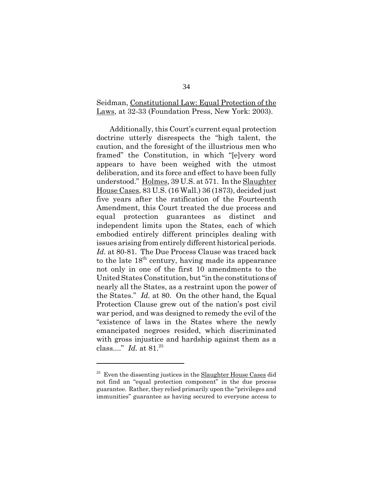#### Seidman, Constitutional Law: Equal Protection of the Laws, at 32-33 (Foundation Press, New York: 2003).

Additionally, this Court's current equal protection doctrine utterly disrespects the "high talent, the caution, and the foresight of the illustrious men who framed" the Constitution, in which "[e]very word appears to have been weighed with the utmost deliberation, and its force and effect to have been fully understood." Holmes, 39 U.S. at 571. In the Slaughter House Cases, 83 U.S. (16 Wall.) 36 (1873), decided just five years after the ratification of the Fourteenth Amendment, this Court treated the due process and equal protection guarantees as distinct and independent limits upon the States, each of which embodied entirely different principles dealing with issues arising from entirely different historical periods. *Id.* at 80-81. The Due Process Clause was traced back to the late  $18<sup>th</sup>$  century, having made its appearance not only in one of the first 10 amendments to the United States Constitution, but "in the constitutions of nearly all the States, as a restraint upon the power of the States." *Id.* at 80. On the other hand, the Equal Protection Clause grew out of the nation's post civil war period, and was designed to remedy the evil of the "existence of laws in the States where the newly emancipated negroes resided, which discriminated with gross injustice and hardship against them as a class...." *Id.* at 81.25

 $25$  Even the dissenting justices in the Slaughter House Cases did not find an "equal protection component" in the due process guarantee. Rather, they relied primarily upon the "privileges and immunities" guarantee as having secured to everyone access to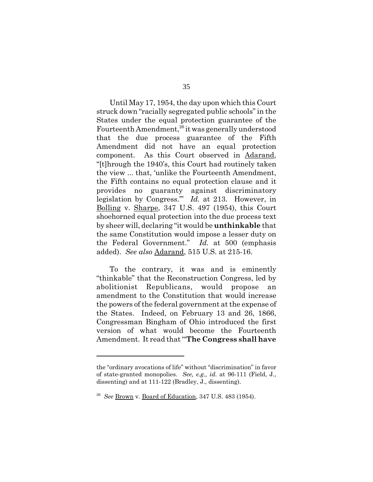Until May 17, 1954, the day upon which this Court struck down "racially segregated public schools" in the States under the equal protection guarantee of the Fourteenth Amendment,<sup>26</sup> it was generally understood that the due process guarantee of the Fifth Amendment did not have an equal protection component. As this Court observed in Adarand, "[t]hrough the 1940's, this Court had routinely taken the view ... that, 'unlike the Fourteenth Amendment, the Fifth contains no equal protection clause and it provides no guaranty against discriminatory legislation by Congress.'" *Id.* at 213. However, in Bolling v. Sharpe, 347 U.S. 497 (1954), this Court shoehorned equal protection into the due process text by sheer will, declaring "it would be **unthinkable** that the same Constitution would impose a lesser duty on the Federal Government." *Id.* at 500 (emphasis added). *See also* Adarand, 515 U.S. at 215-16.

To the contrary, it was and is eminently "thinkable" that the Reconstruction Congress, led by abolitionist Republicans, would propose an amendment to the Constitution that would increase the powers of the federal government at the expense of the States. Indeed, on February 13 and 26, 1866, Congressman Bingham of Ohio introduced the first version of what would become the Fourteenth Amendment. It read that "'**The Congress shall have**

the "ordinary avocations of life" without "discrimination" in favor of state-granted monopolies. *See, e.g., id.* at 96-111 (Field, J., dissenting) and at 111-122 (Bradley, J., dissenting).

<sup>26</sup> *See* Brown v. Board of Education, 347 U.S. 483 (1954).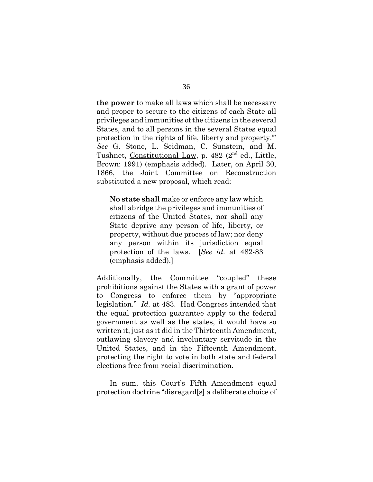**the power** to make all laws which shall be necessary and proper to secure to the citizens of each State all privileges and immunities of the citizens in the several States, and to all persons in the several States equal protection in the rights of life, liberty and property.'" *See* G. Stone, L. Seidman, C. Sunstein, and M. Tushnet, Constitutional Law, p.  $482$  ( $2<sup>nd</sup>$  ed., Little, Brown: 1991) (emphasis added). Later, on April 30, 1866, the Joint Committee on Reconstruction substituted a new proposal, which read:

**No state shall** make or enforce any law which shall abridge the privileges and immunities of citizens of the United States, nor shall any State deprive any person of life, liberty, or property, without due process of law; nor deny any person within its jurisdiction equal protection of the laws. [*See id.* at 482-83 (emphasis added).]

Additionally, the Committee "coupled" these prohibitions against the States with a grant of power to Congress to enforce them by "appropriate legislation." *Id.* at 483. Had Congress intended that the equal protection guarantee apply to the federal government as well as the states, it would have so written it, just as it did in the Thirteenth Amendment, outlawing slavery and involuntary servitude in the United States, and in the Fifteenth Amendment, protecting the right to vote in both state and federal elections free from racial discrimination.

In sum, this Court's Fifth Amendment equal protection doctrine "disregard[s] a deliberate choice of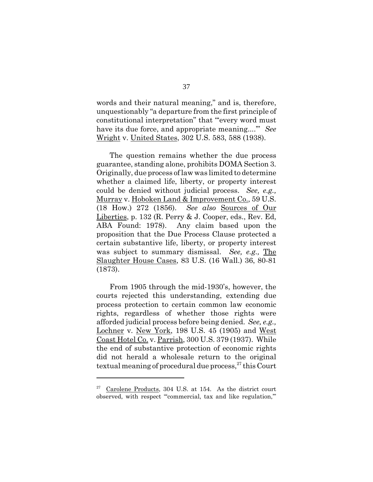words and their natural meaning," and is, therefore, unquestionably "a departure from the first principle of constitutional interpretation" that "'every word must have its due force, and appropriate meaning....'" *See* Wright v. United States, 302 U.S. 583, 588 (1938).

The question remains whether the due process guarantee, standing alone, prohibits DOMA Section 3. Originally, due process of law was limited to determine whether a claimed life, liberty, or property interest could be denied without judicial process. *See, e.g.,* Murray v. Hoboken Land & Improvement Co., 59 U.S. (18 How.) 272 (1856). *See also* Sources of Our Liberties, p. 132 (R. Perry & J. Cooper, eds., Rev. Ed, ABA Found: 1978). Any claim based upon the proposition that the Due Process Clause protected a certain substantive life, liberty, or property interest was subject to summary dismissal. *See, e.g.,* The Slaughter House Cases, 83 U.S. (16 Wall.) 36, 80-81 (1873).

From 1905 through the mid-1930's, however, the courts rejected this understanding, extending due process protection to certain common law economic rights, regardless of whether those rights were afforded judicial process before being denied. *See, e.g.,* Lochner v. New York, 198 U.S. 45 (1905) and West Coast Hotel Co. v. Parrish, 300 U.S. 379 (1937). While the end of substantive protection of economic rights did not herald a wholesale return to the original textual meaning of procedural due process, $^{27}$  this Court

 $27$  Carolene Products, 304 U.S. at 154. As the district court observed, with respect "'commercial, tax and like regulation,'"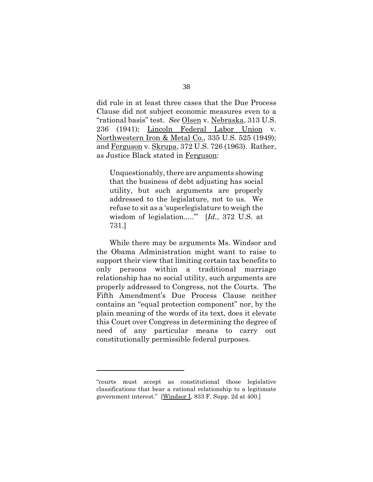did rule in at least three cases that the Due Process Clause did not subject economic measures even to a "rational basis" test. *See* Olsen v. Nebraska, 313 U.S. 236 (1941); Lincoln Federal Labor Union v. Northwestern Iron & Metal Co., 335 U.S. 525 (1949); and Ferguson v. Skrupa, 372 U.S. 726 (1963). Rather, as Justice Black stated in Ferguson:

Unquestionably, there are arguments showing that the business of debt adjusting has social utility, but such arguments are properly addressed to the legislature, not to us. We refuse to sit as a 'superlegislature to weigh the wisdom of legislation.....'" [*Id.*, 372 U.S. at 731.]

While there may be arguments Ms. Windsor and the Obama Administration might want to raise to support their view that limiting certain tax benefits to only persons within a traditional marriage relationship has no social utility, such arguments are properly addressed to Congress, not the Courts. The Fifth Amendment's Due Process Clause neither contains an "equal protection component" nor, by the plain meaning of the words of its text, does it elevate this Court over Congress in determining the degree of need of any particular means to carry out constitutionally permissible federal purposes.

<sup>&</sup>quot;courts must accept as constitutional those legislative classifications that bear a rational relationship to a legitimate government interest." [Windsor I, 833 F. Supp. 2d at 400.]